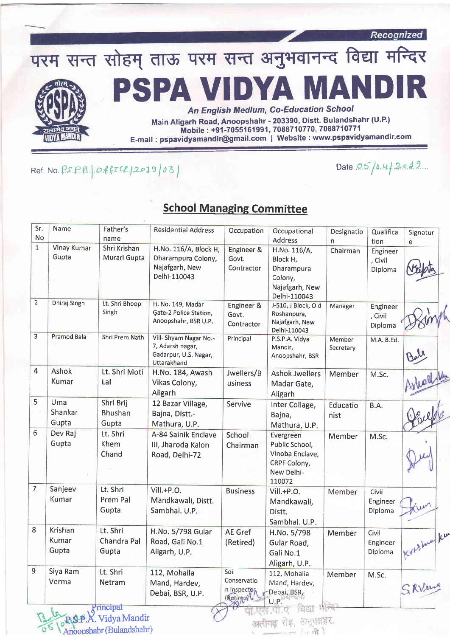

 $Ref. No. PS. PA.$   $Of. 12019003$ 

Date  $0.5$  /0.4/2019

## **School Managing Committee**

| Sr.<br>No               | Name                        | Father's<br>name                 | <b>Residential Address</b>                                                         | Occupation                                                   | Occupational<br>Address                                                                | Designatio          | Qualifica                              | Signatur   |
|-------------------------|-----------------------------|----------------------------------|------------------------------------------------------------------------------------|--------------------------------------------------------------|----------------------------------------------------------------------------------------|---------------------|----------------------------------------|------------|
| $1 -$                   | <b>Vinay Kumar</b><br>Gupta | Shri Krishan<br>Murari Gupta     | H.No. 116/A, Block H,<br>Dharampura Colony,<br>Najafgarh, New<br>Delhi-110043      | Engineer &<br>Govt.<br>Contractor                            | H.No. 116/A,<br>Block H,<br>Dharampura<br>Colony,<br>Najafgarh, New<br>Delhi-110043    | n.<br>Chairman      | tion<br>Engineer<br>, Civil<br>Diploma | e          |
| $\overline{2}$          | Dhiraj Singh                | Lt. Shri Bhoop<br>Singh          | H. No. 149, Madar<br>Gate-2 Police Station,<br>Anoopshahr, BSR U.P.                | Engineer &<br>Govt.<br>Contractor                            | J-510, J Block, Old<br>Roshanpura,<br>Najafgarh, New<br>Delhi-110043                   | Manager             | Engineer<br>, Civil<br>Diploma         |            |
| $\overline{\mathbf{3}}$ | Pramod Bala                 | <b>Shri Prem Nath</b>            | Vill- Shyam Nagar No.-<br>7, Adarsh nagar,<br>Gadarpur, U.S. Nagar,<br>Uttarakhand | Principal                                                    | P.S.P.A. Vidya<br>Mandir,<br>Anoopshahr, BSR                                           | Member<br>Secretary | M.A. B.Ed.                             |            |
| 4                       | Ashok<br>Kumar              | Lt. Shri Moti<br>Lal             | H.No. 184, Awash<br>Vikas Colony,<br>Aligarh                                       | Jwellers/B<br>usiness                                        | <b>Ashok Jwellers</b><br>Madar Gate,<br>Aligarh                                        | Member              | M.Sc.                                  | Hich       |
| 5                       | Uma<br>Shankar<br>Gupta     | Shri Brij<br>Bhushan<br>Gupta    | 12 Bazar Village,<br>Bajna, Distt.-<br>Mathura, U.P.                               | Servive                                                      | Inter Collage,<br>Bajna,<br>Mathura, U.P.                                              | Educatio<br>nist    | B.A.                                   |            |
| 6                       | Dev Raj<br>Gupta            | Lt. Shri<br>Khem<br>Chand        | A-84 Sainik Enclave<br>III, Jharoda Kalon<br>Road, Delhi-72                        | School<br>Chairman                                           | Evergreen<br>Public School,<br>Vinoba Enclave,<br>CRPF Colony,<br>New Delhi-<br>110072 | Member              | M.Sc.                                  |            |
| $\overline{7}$          | Sanjeev<br>Kumar            | Lt. Shri<br>Prem Pal<br>Gupta    | $VIII.+P.O.$<br>Mandkawali, Distt.<br>Sambhal. U.P.                                | <b>Business</b>                                              | Vill.+P.O.<br>Mandkawali,<br>Distt.<br>Sambhal. U.P.                                   | Member              | Civil<br>Engineer<br>Diploma           |            |
| $\overline{8}$          | Krishan<br>Kumar<br>Gupta   | Lt. Shri<br>Chandra Pal<br>Gupta | H.No. 5/798 Gular<br>Road, Gali No.1<br>Aligarh, U.P.                              | <b>AE</b> Gref<br>(Retired)                                  | H.No. 5/798<br>Gular Road,<br>Gali No.1<br>Aligarh, U.P.                               | Member              | Civil<br>Engineer<br>Diploma           | Krishua ku |
| 9                       | Siya Ram<br>Verma           | Lt. Shri<br>Netram               | 112, Mohalla<br>Mand, Hardev,<br>Debai, BSR, U.P.                                  | Soil<br>Conservatio<br>n Inspector<br>(Retired) <sup>'</sup> | 112, Mohalia<br>Mand, Hardev,<br>Debai, BSR,<br>U.P.                                   | Member              | M.Sc.                                  | SRV        |

 $\pi$   $\hat{\pi}$ )

Vidya Mandir .X. Vidya Mandu Anoopshahr (Bulandshahr)